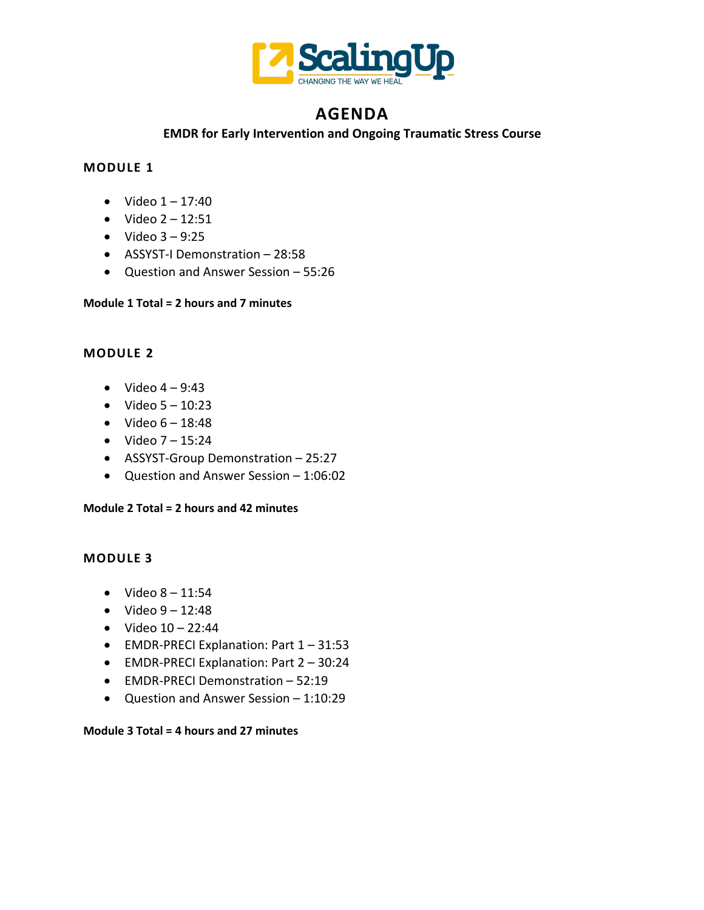

# **AGENDA**

## **EMDR for Early Intervention and Ongoing Traumatic Stress Course**

# **MODULE 1**

- Video  $1 17:40$
- Video  $2 12:51$
- Video  $3 9:25$
- ASSYST-I Demonstration 28:58
- Question and Answer Session 55:26

### **Module 1 Total = 2 hours and 7 minutes**

# **MODULE 2**

- Video  $4 9:43$
- Video  $5 10:23$
- Video  $6 18:48$
- Video  $7 15:24$
- ASSYST-Group Demonstration 25:27
- Question and Answer Session 1:06:02

### **Module 2 Total = 2 hours and 42 minutes**

### **MODULE 3**

- Video  $8 11:54$
- Video  $9 12:48$
- Video  $10 22:44$
- EMDR-PRECI Explanation: Part 1 31:53
- EMDR-PRECI Explanation: Part 2 30:24
- EMDR-PRECI Demonstration 52:19
- Question and Answer Session 1:10:29

#### **Module 3 Total = 4 hours and 27 minutes**